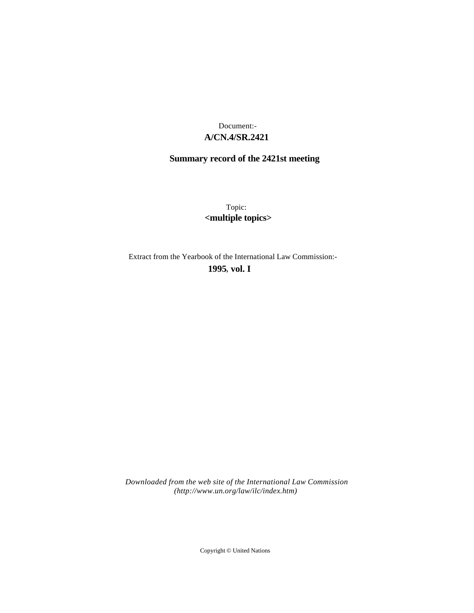# **A/CN.4/SR.2421** Document:-

# **Summary record of the 2421st meeting**

Topic: **<multiple topics>**

Extract from the Yearbook of the International Law Commission:-

**1995** , **vol. I**

*Downloaded from the web site of the International Law Commission (http://www.un.org/law/ilc/index.htm)*

Copyright © United Nations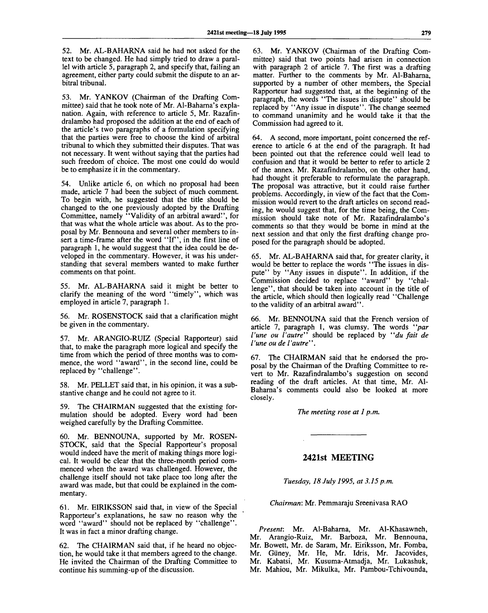52. Mr. AL-BAHARNA said he had not asked for the text to be changed. He had simply tried to draw a parallel with article 5, paragraph 2, and specify that, failing an agreement, either party could submit the dispute to an arbitral tribunal.

53. Mr. YANKOV (Chairman of the Drafting Committee) said that he took note of Mr. Al-Baharna's explanation. Again, with reference to article 5, Mr. Razafindralambo had proposed the addition at the end of each of the article's two paragraphs of a formulation specifying that the parties were free to choose the kind of arbitral tribunal to which they submitted their disputes. That was not necessary. It went without saying that the parties had such freedom of choice. The most one could do would be to emphasize it in the commentary.

54. Unlike article 6, on which no proposal had been made, article 7 had been the subject of much comment. To begin with, he suggested that the title should be changed to the one previously adopted by the Drafting Committee, namely "Validity of an arbitral award", for that was what the whole article was about. As to the proposal by Mr. Bennouna and several other members to insert a time-frame after the word "If", in the first line of paragraph 1, he would suggest that the idea could be developed in the commentary. However, it was his understanding that several members wanted to make further comments on that point.

55. Mr. AL-BAHARNA said it might be better to clarify the meaning of the word "timely", which was employed in article 7, paragraph 1.

56. Mr. ROSENSTOCK said that a clarification might be given in the commentary.

57. Mr. ARANGIO-RUIZ (Special Rapporteur) said that, to make the paragraph more logical and specify the time from which the period of three months was to commence, the word "award", in the second line, could be replaced by "challenge".

58. Mr. PELLET said that, in his opinion, it was a substantive change and he could not agree to it.

59. The CHAIRMAN suggested that the existing formulation should be adopted. Every word had been weighed carefully by the Drafting Committee.

60. Mr. BENNOUNA, supported by Mr. ROSEN-STOCK, said that the Special Rapporteur's proposal would indeed have the merit of making things more logical. It would be clear that the three-month period commenced when the award was challenged. However, the challenge itself should not take place too long after the award was made, but that could be explained in the commentary.

61. Mr. EIRIKSSON said that, in view of the Special Rapporteur's explanations, he saw no reason why the word "award" should not be replaced by "challenge". It was in fact a minor drafting change.

62. The CHAIRMAN said that, if he heard no objection, he would take it that members agreed to the change. He invited the Chairman of the Drafting Committee to continue his summing-up of the discussion.

63. Mr. YANKOV (Chairman of the Drafting Committee) said that two points had arisen in connection with paragraph 2 of article 7. The first was a drafting matter. Further to the comments by Mr. Al-Baharna, supported by a number of other members, the Special Rapporteur had suggested that, at the beginning of the paragraph, the words "The issues in dispute" should be replaced by "Any issue in dispute". The change seemed to command unanimity and he would take it that the Commission had agreed to it.

64. A second, more important, point concerned the reference to article 6 at the end of the paragraph. It had been pointed out that the reference could well lead to confusion and that it would be better to refer to article 2 of the annex. Mr. Razafindralambo, on the other hand, had thought it preferable to reformulate the paragraph. The proposal was attractive, but it could raise further problems. Accordingly, in view of the fact that the Commission would revert to the draft articles on second reading, he would suggest that, for the time being, the Commission should take note of Mr. Razafindralambo's comments so that they would be borne in mind at the next session and that only the first drafting change proposed for the paragraph should be adopted.

65. Mr. AL-BAHARNA said that, for greater clarity, it would be better to replace the words "The issues in dispute" by "Any issues in dispute". In addition, if the Commission decided to replace "award" by "challenge", that should be taken into account in the title of the article, which should then logically read "Challenge to the validity of an arbitral award".

66. Mr. BENNOUNA said that the French version of article 7, paragraph 1, was clumsy. The words *"par Vune ou 1'autre"* should be replaced by *"du fait de I'une ou de V outre"".*

67. The CHAIRMAN said that he endorsed the proposal by the Chairman of the Drafting Committee to revert to Mr. Razafindralambo's suggestion on second reading of the draft articles. At that time, Mr. Al-Baharna's comments could also be looked at more closely.

*The meeting rose at 1 p.m.*

## **2421st MEETING**

*Tuesday, 18 July 1995, at 3.15 p.m.*

*Chairman:* Mr. Pemmaraju Sreenivasa RAO

*Present:* Mr. Al-Baharna, Mr. Al-Khasawneh, Mr. Arangio-Ruiz, Mr. Barboza, Mr. Bennouna, Mr. Bowett, Mr. de Saram, Mr. Eiriksson, Mr. Fomba, Mr. Giiney, Mr. He, Mr. Idris, Mr. Jacovides, Mr. Kabatsi, Mr. Kusuma-Atmadja, Mr. Lukashuk, Mr. Mahiou, Mr. Mikulka, Mr. Pambou-Tchivounda,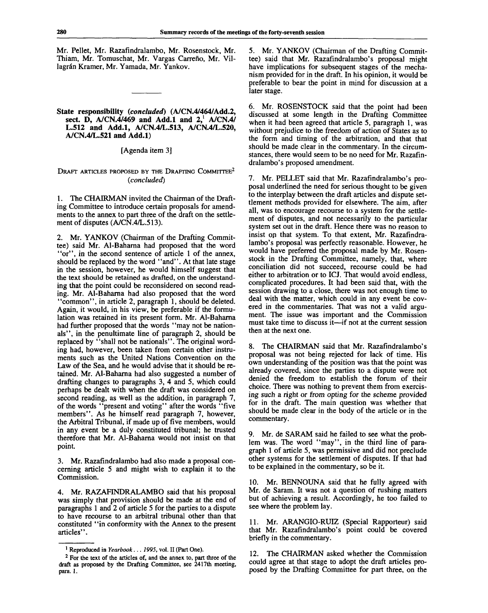Mr. Pellet, Mr. Razafindralambo, Mr. Rosenstock, Mr. Thiam, Mr. Tomuschat, Mr. Vargas Carreño, Mr. Villagrán Kramer, Mr. Yamada, Mr. Yankov.

### **State responsibility** *{concluded)* **(A/CN.4/464/Add.2,** sect. **D, A/CN.4/469 and Add.l and 2,<sup>1</sup> A/CN.4/ L.512 and Add.l, A/CN.4/L.513, A/CN.4/L.520, A/CN.4/L.521 and Add.l)**

## [Agenda item 3]

## DRAFT ARTICLES PROPOSED BY THE DRAFTING COMMITTEE<sup>2</sup> *{concluded)*

1. The CHAIRMAN invited the Chairman of the Drafting Committee to introduce certain proposals for amendments to the annex to part three of the draft on the settlement of disputes (A/CN.4/L.513).

2. Mr. YANKOV (Chairman of the Drafting Committee) said Mr. Al-Baharna had proposed that the word "or", in the second sentence of article 1 of the annex, should be replaced by the word "and". At that late stage in the session, however, he would himself suggest that the text should be retained as drafted, on the understanding that the point could be reconsidered on second reading. Mr. Al-Baharna had also proposed that the word "common", in article 2, paragraph 1, should be deleted. Again, it would, in his view, be preferable if the formulation was retained in its present form. Mr. Al-Baharna had further proposed that the words "may not be nationals", in the penultimate line of paragraph 2, should be replaced by "shall not be nationals". The original wording had, however, been taken from certain other instruments such as the United Nations Convention on the Law of the Sea, and he would advise that it should be retained. Mr. Al-Baharna had also suggested a number of drafting changes to paragraphs 3, 4 and 5, which could perhaps be dealt with when the draft was considered on second reading, as well as the addition, in paragraph 7, of the words "present and voting" after the words "five members". As he himself read paragraph 7, however, the Arbitral Tribunal, if made up of five members, would in any event be a duly constituted tribunal; he trusted therefore that Mr. Al-Baharna would not insist on that point.

3. Mr. Razafindralambo had also made a proposal concerning article 5 and might wish to explain it to the Commission.

4. Mr. RAZAFINDRALAMBO said that his proposal was simply that provision should be made at the end of paragraphs 1 and 2 of article 5 for the parties to a dispute to have recourse to an arbitral tribunal other than that constituted "in conformity with the Annex to the present articles".

5. Mr. YANKOV (Chairman of the Drafting Committee) said that Mr. Razafindralambo's proposal might have implications for subsequent stages of the mechanism provided for in the draft. In his opinion, it would be preferable to bear the point in mind for discussion at a later stage.

6. Mr. ROSENSTOCK said that the point had been discussed at some length in the Drafting Committee when it had been agreed that article 5, paragraph 1, was without prejudice to the freedom of action of States as to the form and timing of the arbitration, and that that should be made clear in the commentary. In the circumstances, there would seem to be no need for Mr. Razafindralambo's proposed amendment.

7. Mr. PELLET said that Mr. Razafindralambo's proposal underlined the need for serious thought to be given to the interplay between the draft articles and dispute settlement methods provided for elsewhere. The aim, after all, was to encourage recourse to a system for the settlement of disputes, and not necessarily to the particular system set out in the draft. Hence there was no reason to insist op that system. To that extent, Mr. Razafindralambo's proposal was perfectly reasonable. However, he would have preferred the proposal made by Mr. Rosenstock in the Drafting Committee, namely, that, where conciliation did not succeed, recourse could be had either to arbitration or to ICJ. That would avoid endless, complicated procedures. It had been said that, with the session drawing to a close, there was not enough time to deal with the matter, which could in any event be covered in the commentaries. That was not a valid argument. The issue was important and the Commission must take time to discuss it—if not at the current session then at the next one.

8. The CHAIRMAN said that Mr. Razafindralambo's proposal was not being rejected for lack of time. His own understanding of the position was that the point was already covered, since the parties to a dispute were not denied the freedom to establish the forum of their choice. There was nothing to prevent them from exercising such a right or from opting for the scheme provided for in the draft. The main question was whether that should be made clear in the body of the article or in the commentary.

9. Mr. de SARAM said he failed to see what the problem was. The word "may", in the third line of paragraph 1 of article 5, was permissive and did not preclude other systems for the settlement of disputes. If that had to be explained in the commentary, so be it.

Mr. BENNOUNA said that he fully agreed with Mr. de Saram. It was not a question of rushing matters but of achieving a result. Accordingly, he too failed to see where the problem lay.

11. Mr. ARANGIO-RUIZ (Special Rapporteur) said that Mr. Razafindralambo's point could be covered briefly in the commentary.

12. The CHAIRMAN asked whether the Commission could agree at that stage to adopt the draft articles proposed by the Drafting Committee for part three, on the

<sup>&</sup>lt;sup>1</sup> Reproduced in *Yearbook... 1995*, vol. II (Part One).

<sup>&</sup>lt;sup>2</sup> For the text of the articles of, and the annex to, part three of the draft as proposed by the Drafting Committee, see 2417th meeting, para. 1.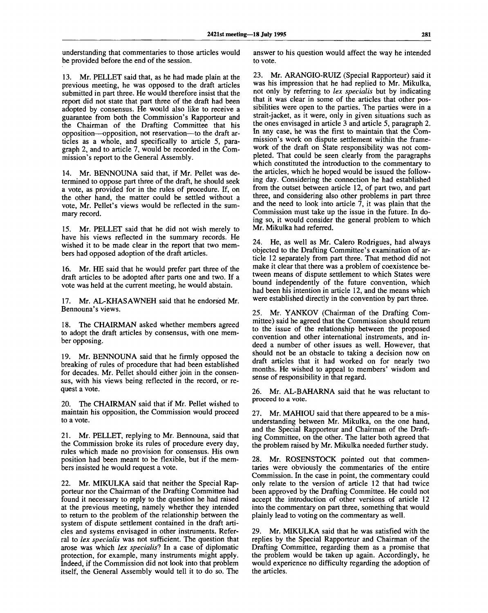understanding that commentaries to those articles would be provided before the end of the session.

13. Mr. PELLET said that, as he had made plain at the previous meeting, he was opposed to the draft articles submitted in part three. He would therefore insist that the report did not state that part three of the draft had been adopted by consensus. He would also like to receive a guarantee from both the Commission's Rapporteur and the Chairman of the Drafting Committee that his opposition—opposition, not reservation—to the draft articles as a whole, and specifically to article 5, paragraph 2, and to article 7, would be recorded in the Commission's report to the General Assembly.

14. Mr. BENNOUNA said that, if Mr. Pellet was determined to oppose part three of the draft, he should seek a vote, as provided for in the rules of procedure. If, on the other hand, the matter could be settled without a vote, Mr. Pellet's views would be reflected in the summary record.

15. Mr. PELLET said that he did not wish merely to have his views reflected in the summary records. He wished it to be made clear in the report that two members had opposed adoption of the draft articles.

16. Mr. HE said that he would prefer part three of the draft articles to be adopted after parts one and two. If a vote was held at the current meeting, he would abstain.

17. Mr. AL-KHASAWNEH said that he endorsed Mr. Bennouna's views.

18. The CHAIRMAN asked whether members agreed to adopt the draft articles by consensus, with one member opposing.

19. Mr. BENNOUNA said that he firmly opposed the breaking of rules of procedure that had been established for decades. Mr. Pellet should either join in the consensus, with his views being reflected in the record, or request a vote.

20. The CHAIRMAN said that if Mr. Pellet wished to maintain his opposition, the Commission would proceed to a vote.

21. Mr. PELLET, replying to Mr. Bennouna, said that the Commission broke its rules of procedure every day, rules which made no provision for consensus. His own position had been meant to be flexible, but if the members insisted he would request a vote.

22. Mr. MIKULKA said that neither the Special Rapporteur nor the Chairman of the Drafting Committee had found it necessary to reply to the question he had raised at the previous meeting, namely whether they intended to return to the problem of the relationship between the system of dispute settlement contained in the draft articles and systems envisaged in other instruments. Referral to *lex specialis* was not sufficient. The question that arose was which lex specialis? In a case of diplomatic protection, for example, many instruments might apply. Indeed, if the Commission did not look into that problem itself, the General Assembly would tell it to do so. The

answer to his question would affect the way he intended to vote.

23. Mr. ARANGIO-RUIZ (Special Rapporteur) said it was his impression that he had replied to Mr. Mikulka, not only by referring to *lex specialis* but by indicating that it was clear in some of the articles that other possibilities were open to the parties. The parties were in a strait-jacket, as it were, only in given situations such as the ones envisaged in article 3 and article 5, paragraph 2. In any case, he was the first to maintain that the Commission's work on dispute settlement within the framework of the draft on State responsibility was not completed. That could be seen clearly from the paragraphs which constituted the introduction to the commentary to the articles, which he hoped would be issued the following day. Considering the connection he had established from the outset between article 12, of part two, and part three, and considering also other problems in part three and the need to look into article  $\overline{7}$ , it was plain that the Commission must take up the issue in the future. In doing so, it would consider the general problem to which Mr. Mikulka had referred.

24. He, as well as Mr. Calero Rodrigues, had always objected to the Drafting Committee's examination of article 12 separately from part three. That method did not make it clear that there was a problem of coexistence between means of dispute settlement to which States were bound independently of the future convention, which had been his intention in article 12, and the means which were established directly in the convention by part three.

25. Mr. YANKOV (Chairman of the Drafting Committee) said he agreed that the Commission should return to the issue of the relationship between the proposed convention and other international instruments, and indeed a number of other issues as well. However, that should not be an obstacle to taking a decision now on draft articles that it had worked on for nearly two months. He wished to appeal to members' wisdom and sense of responsibility in that regard.

26. Mr. AL-BAHARNA said that he was reluctant to proceed to a vote.

27. Mr. MAHIOU said that there appeared to be a misunderstanding between Mr. Mikulka, on the one hand, and the Special Rapporteur and Chairman of the Drafting Committee, on the other. The latter both agreed that the problem raised by Mr. Mikulka needed further study.

28. Mr. ROSENSTOCK pointed out that commentaries were obviously the commentaries of the entire Commission. In the case in point, the commentary could only relate to the version of article 12 that had twice been approved by the Drafting Committee. He could not accept the introduction of other versions of article 12 into the commentary on part three, something that would plainly lead to voting on the commentary as well.

29. Mr. MIKULKA said that he was satisfied with the replies by the Special Rapporteur and Chairman of the Drafting Committee, regarding them as a promise that the problem would be taken up again. Accordingly, he would experience no difficulty regarding the adoption of the articles.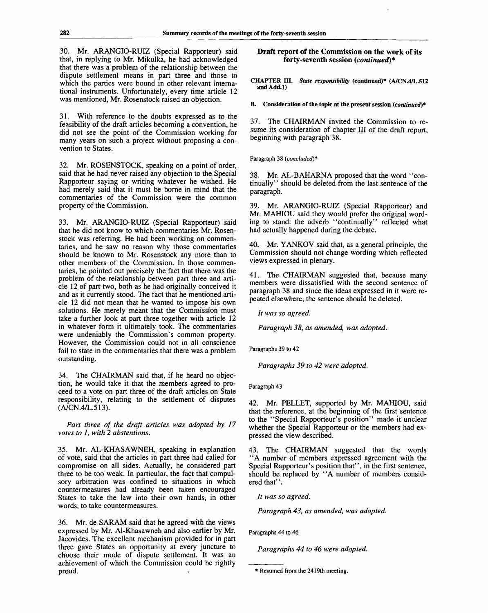30. Mr. ARANGIO-RUIZ (Special Rapporteur) said that, in replying to Mr. Mikulka, he had acknowledged that there was a problem of the relationship between the dispute settlement means in part three and those to which the parties were bound in other relevant international instruments. Unfortunately, every time article 12 was mentioned, Mr. Rosenstock raised an objection.

31. With reference to the doubts expressed as to the feasibility of the draft articles becoming a convention, he did not see the point of the Commission working for many years on such a project without proposing a convention to States.

32. Mr. ROSENSTOCK, speaking on a point of order, said that he had never raised any objection to the Special Rapporteur saying or writing whatever he wished. He had merely said that it must be borne in mind that the commentaries of the Commission were the common property of the Commission.

33. Mr. ARANGIO-RUIZ (Special Rapporteur) said that he did not know to which commentaries Mr. Rosenstock was referring. He had been working on commentaries, and he saw no reason why those commentaries should be known to Mr. Rosenstock any more than to other members of the Commission. In those commentaries, he pointed out precisely the fact that there was the problem of the relationship between part three and article 12 of part two, both as he had originally conceived it and as it currently stood. The fact that he mentioned article 12 did not mean that he wanted to impose his own solutions. He merely meant that the Commission must take a further look at part three together with article 12 in whatever form it ultimately took. The commentaries were undeniably the Commission's common property. However, the Commission could not in all conscience fail to state in the commentaries that there was a problem outstanding.

34. The CHAIRMAN said that, if he heard no objection, he would take it that the members agreed to proceed to a vote on part three of the draft articles on State responsibility, relating to the settlement of disputes (A/CN.4/L.513).

*Part three of the draft articles was adopted by 17 votes to 1, with 2 abstentions.*

35. Mr. AL-KHASAWNEH, speaking in explanation of vote, said that the articles in part three had called for compromise on all sides. Actually, he considered part three to be too weak. In particular, the fact that compulsory arbitration was confined to situations in which countermeasures had already been taken encouraged States to take the law into their own hands, in other words, to take countermeasures.

36. Mr. de SARAM said that he agreed with the views expressed by Mr. Al-Khasawneh and also earlier by Mr. Jacovides. The excellent mechanism provided for in part three gave States an opportunity at every juncture to choose their mode of dispute settlement. It was an achievement of which the Commission could be rightly proud.

## **Draft report of the Commission on the work of its forty-seventh session** *(continued)\**

**CHAPTER HI.** *State responsibility* **(continued)\* (A/CN.4/L.512 and Add.l)**

**B. Consideration of the topic at the present session** *(continued)\**

37. The CHAIRMAN invited the Commission to resume its consideration of chapter III of the draft report, beginning with paragraph 38.

Paragraph 38 *(concluded)\**

38. Mr. AL-BAHARNA proposed that the word "continually" should be deleted from the last sentence of the paragraph.

39. Mr. ARANGIO-RUIZ (Special Rapporteur) and Mr. MAHIOU said they would prefer the original wording to stand: the adverb "continually" reflected what had actually happened during the debate.

40. Mr. YANKOV said that, as a general principle, the Commission should not change wording which reflected views expressed in plenary.

41. The CHAIRMAN suggested that, because many members were dissatisfied with the second sentence of paragraph 38 and since the ideas expressed in it were repeated elsewhere, the sentence should be deleted.

*It was so agreed.*

*Paragraph 38, as amended, was adopted.*

Paragraphs 39 to 42

*Paragraphs 39 to 42 were adopted.*

Paragraph 43

42. Mr. PELLET, supported by Mr. MAHIOU, said that the reference, at the beginning of the first sentence to the "Special Rapporteur's position" made it unclear whether the Special Rapporteur or the members had expressed the view described.

43. The CHAIRMAN suggested that the words "A number of members expressed agreement with the Special Rapporteur's position that", in the first sentence, should be replaced by "A number of members considered that''.

*It was so agreed.*

*Paragraph 43, as amended, was adopted.*

Paragraphs 44 to 46

*Paragraphs 44 to 46 were adopted.*

<sup>\*</sup> Resumed from the 2419th meeting.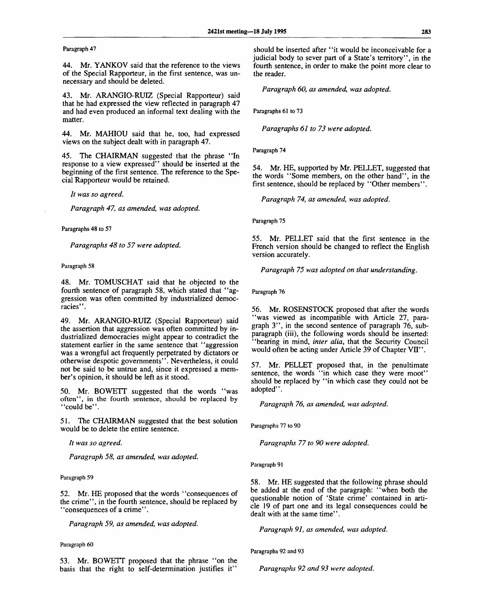Paragraph 47

44. Mr. YANKOV said that the reference to the views of the Special Rapporteur, in the first sentence, was unnecessary and should be deleted.

43. Mr. ARANGIO-RUIZ (Special Rapporteur) said that he had expressed the view reflected in paragraph 47 and had even produced an informal text dealing with the matter.

44. Mr. MAHIOU said that he, too, had expressed views on the subject dealt with in paragraph 47.

45. The CHAIRMAN suggested that the phrase "In response to a view expressed" should be inserted at the beginning of the first sentence. The reference to the Special Rapporteur would be retained.

// *was so agreed.*

*Paragraph 47, as amended, was adopted.*

Paragraphs 48 to 57

*Paragraphs 48 to 57 were adopted.*

Paragraph 58

48. Mr. TOMUSCHAT said that he objected to the fourth sentence of paragraph 58, which stated that "aggression was often committed by industrialized democracies".

49. Mr. ARANGIO-RUIZ (Special Rapporteur) said the assertion that aggression was often committed by industrialized democracies might appear to contradict the statement earlier in the same sentence that "aggression was a wrongful act frequently perpetrated by dictators or otherwise despotic governments". Nevertheless, it could not be said to be untrue and, since it expressed a member's opinion, it should be left as it stood.

50. Mr. BOWETT suggested that the words "was often", in the fourth sentence, should be replaced by "could be".

51. The CHAIRMAN suggested that the best solution would be to delete the entire sentence.

*It was so agreed.*

*Paragraph 58, as amended, was adopted.*

Paragraph 59

52. Mr. HE proposed that the words "consequences of the crime", in the fourth sentence, should be replaced by ' 'consequences of a crime''.

*Paragraph 59, as amended, was adopted.*

#### Paragraph 60

53. Mr. BOWETT proposed that the phrase "on the basis that the right to self-determination justifies it"

should be inserted after "it would be inconceivable for a judicial body to sever part of a State's territory", in the fourth sentence, in order to make the point more clear to the reader.

*Paragraph 60, as amended, was adopted.*

Paragraphs 61 to 73

*Paragraphs 61 to 73 were adopted.*

Paragraph 74

54. Mr. HE, supported by Mr. PELLET, suggested that the words "Some members, on the other hand", in the first sentence, should be replaced by "Other members".

*Paragraph 74, as amended, was adopted.*

Paragraph 75

55. Mr. PELLET said that the first sentence in the French version should be changed to reflect the English version accurately.

*Paragraph 75 was adopted on that understanding.*

Paragraph 76

56. Mr. ROSENSTOCK proposed that after the words "was viewed as incompatible with Article 27, paragraph 3", in the second sentence of paragraph 76, subparagraph (iii), the following words should be inserted: "bearing in mind, *inter alia,* that the Security Council would often be acting under Article 39 of Chapter VII".

57. Mr. PELLET proposed that, in the penultimate sentence, the words "in which case they were moot" should be replaced by "in which case they could not be adopted".

*Paragraph 76, as amended, was adopted.*

Paragraphs 77 to 90

*Paragraphs 77 to 90 were adopted.*

Paragraph 91

58. Mr. HE suggested that the following phrase should be added at the end of the paragraph: "when both the questionable notion of 'State crime' contained in article 19 of part one and its legal consequences could be dealt with at the same time".

*Paragraph 91, as amended, was adopted.*

Paragraphs 92 and 93

*Paragraphs 92 and 93 were adopted.*